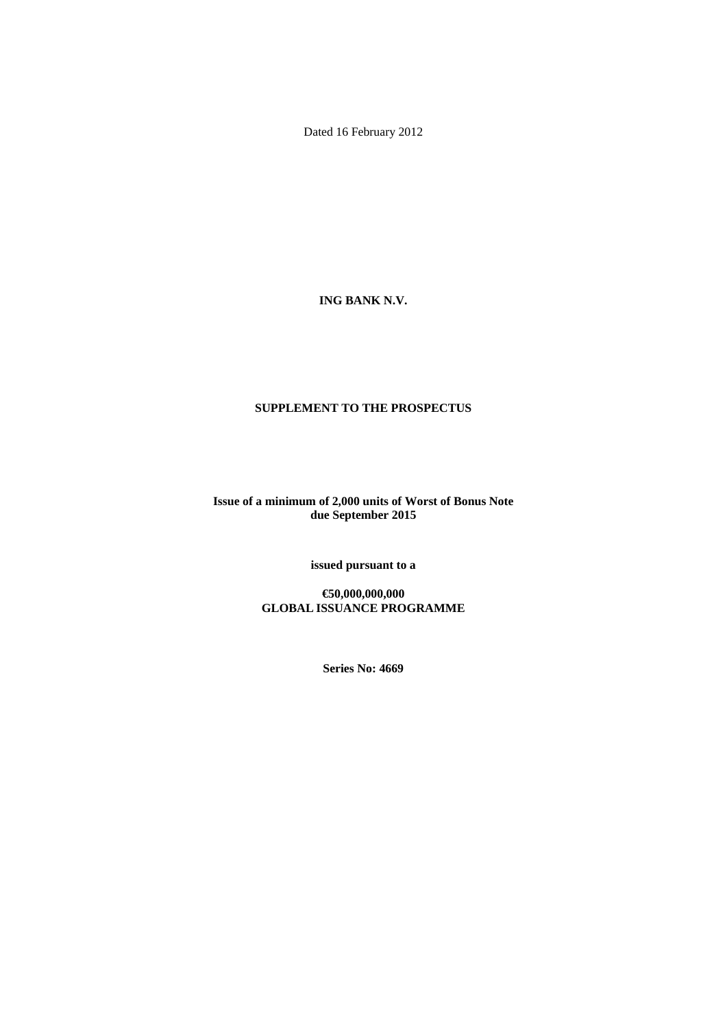Dated 16 February 2012

**ING BANK N.V.** 

## **SUPPLEMENT TO THE PROSPECTUS**

**Issue of a minimum of 2,000 units of Worst of Bonus Note due September 2015** 

**issued pursuant to a** 

**€50,000,000,000 GLOBAL ISSUANCE PROGRAMME** 

**Series No: 4669**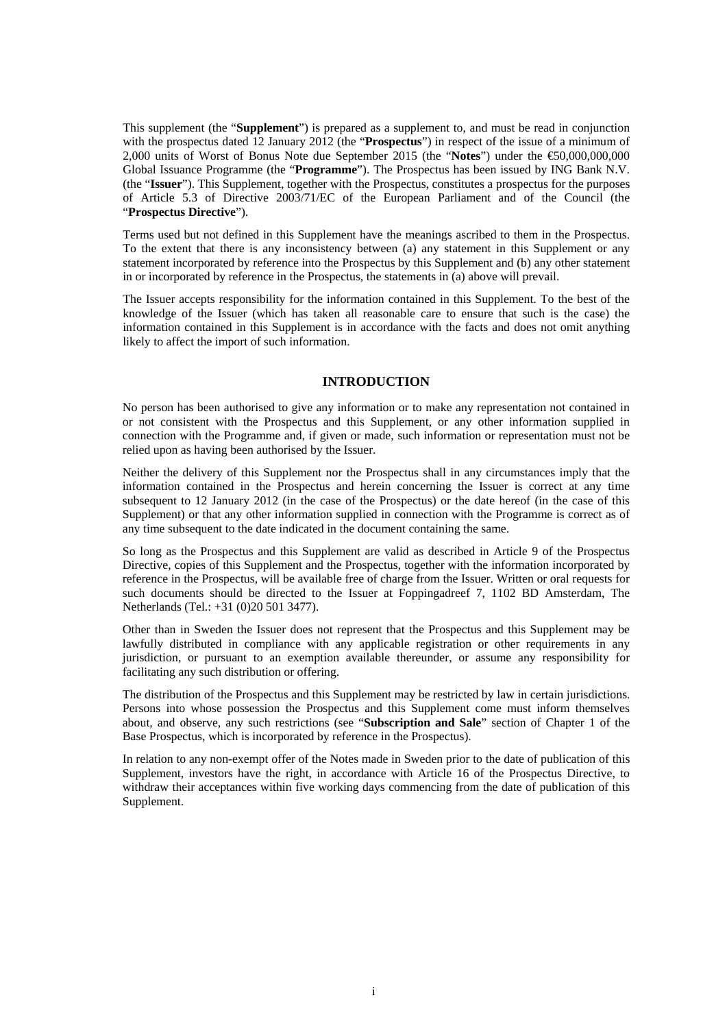This supplement (the "**Supplement**") is prepared as a supplement to, and must be read in conjunction with the prospectus dated 12 January 2012 (the "**Prospectus**") in respect of the issue of a minimum of 2,000 units of Worst of Bonus Note due September 2015 (the "**Notes**") under the €50,000,000,000 Global Issuance Programme (the "**Programme**"). The Prospectus has been issued by ING Bank N.V. (the "**Issuer**"). This Supplement, together with the Prospectus, constitutes a prospectus for the purposes of Article 5.3 of Directive 2003/71/EC of the European Parliament and of the Council (the "**Prospectus Directive**").

Terms used but not defined in this Supplement have the meanings ascribed to them in the Prospectus. To the extent that there is any inconsistency between (a) any statement in this Supplement or any statement incorporated by reference into the Prospectus by this Supplement and (b) any other statement in or incorporated by reference in the Prospectus, the statements in (a) above will prevail.

The Issuer accepts responsibility for the information contained in this Supplement. To the best of the knowledge of the Issuer (which has taken all reasonable care to ensure that such is the case) the information contained in this Supplement is in accordance with the facts and does not omit anything likely to affect the import of such information.

## **INTRODUCTION**

No person has been authorised to give any information or to make any representation not contained in or not consistent with the Prospectus and this Supplement, or any other information supplied in connection with the Programme and, if given or made, such information or representation must not be relied upon as having been authorised by the Issuer.

Neither the delivery of this Supplement nor the Prospectus shall in any circumstances imply that the information contained in the Prospectus and herein concerning the Issuer is correct at any time subsequent to 12 January 2012 (in the case of the Prospectus) or the date hereof (in the case of this Supplement) or that any other information supplied in connection with the Programme is correct as of any time subsequent to the date indicated in the document containing the same.

So long as the Prospectus and this Supplement are valid as described in Article 9 of the Prospectus Directive, copies of this Supplement and the Prospectus, together with the information incorporated by reference in the Prospectus, will be available free of charge from the Issuer. Written or oral requests for such documents should be directed to the Issuer at Foppingadreef 7, 1102 BD Amsterdam, The Netherlands (Tel.: +31 (0)20 501 3477).

Other than in Sweden the Issuer does not represent that the Prospectus and this Supplement may be lawfully distributed in compliance with any applicable registration or other requirements in any jurisdiction, or pursuant to an exemption available thereunder, or assume any responsibility for facilitating any such distribution or offering.

The distribution of the Prospectus and this Supplement may be restricted by law in certain jurisdictions. Persons into whose possession the Prospectus and this Supplement come must inform themselves about, and observe, any such restrictions (see "**Subscription and Sale**" section of Chapter 1 of the Base Prospectus, which is incorporated by reference in the Prospectus).

In relation to any non-exempt offer of the Notes made in Sweden prior to the date of publication of this Supplement, investors have the right, in accordance with Article 16 of the Prospectus Directive, to withdraw their acceptances within five working days commencing from the date of publication of this Supplement.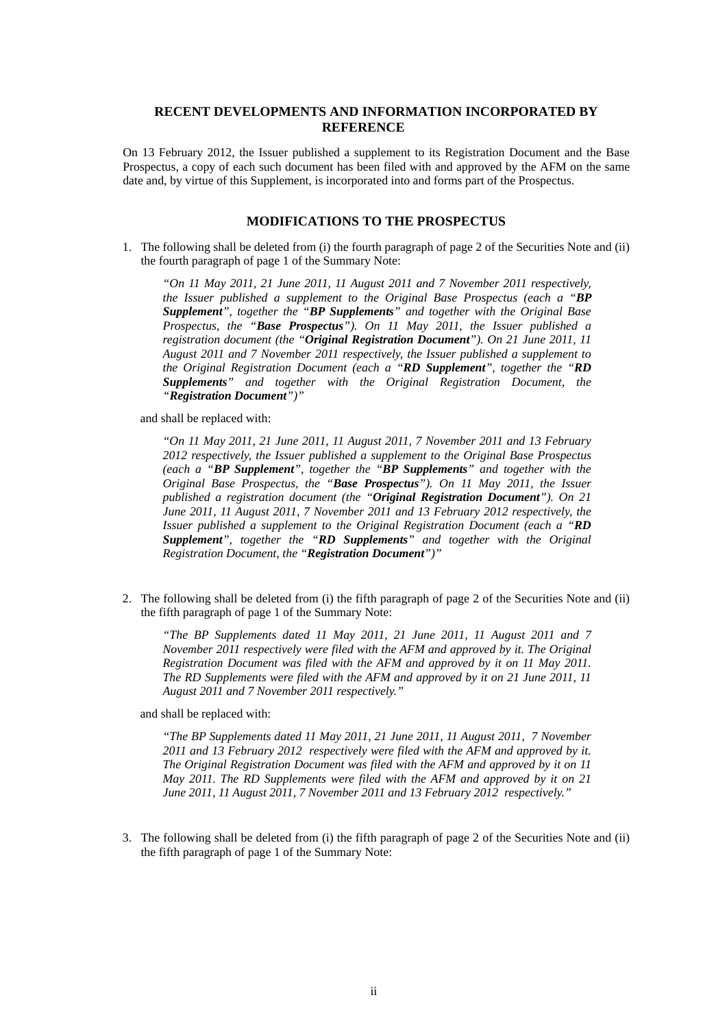## **RECENT DEVELOPMENTS AND INFORMATION INCORPORATED BY REFERENCE**

On 13 February 2012, the Issuer published a supplement to its Registration Document and the Base Prospectus, a copy of each such document has been filed with and approved by the AFM on the same date and, by virtue of this Supplement, is incorporated into and forms part of the Prospectus.

## **MODIFICATIONS TO THE PROSPECTUS**

1. The following shall be deleted from (i) the fourth paragraph of page 2 of the Securities Note and (ii) the fourth paragraph of page 1 of the Summary Note:

*"On 11 May 2011, 21 June 2011, 11 August 2011 and 7 November 2011 respectively, the Issuer published a supplement to the Original Base Prospectus (each a "BP Supplement", together the "BP Supplements" and together with the Original Base Prospectus, the "Base Prospectus"). On 11 May 2011, the Issuer published a registration document (the "Original Registration Document"). On 21 June 2011, 11 August 2011 and 7 November 2011 respectively, the Issuer published a supplement to the Original Registration Document (each a "RD Supplement", together the "RD Supplements" and together with the Original Registration Document, the "Registration Document")"* 

and shall be replaced with:

*"On 11 May 2011, 21 June 2011, 11 August 2011, 7 November 2011 and 13 February 2012 respectively, the Issuer published a supplement to the Original Base Prospectus (each a "BP Supplement", together the "BP Supplements" and together with the Original Base Prospectus, the "Base Prospectus"). On 11 May 2011, the Issuer published a registration document (the "Original Registration Document"). On 21 June 2011, 11 August 2011, 7 November 2011 and 13 February 2012 respectively, the Issuer published a supplement to the Original Registration Document (each a "RD Supplement", together the "RD Supplements" and together with the Original Registration Document, the "Registration Document")"* 

2. The following shall be deleted from (i) the fifth paragraph of page 2 of the Securities Note and (ii) the fifth paragraph of page 1 of the Summary Note:

*"The BP Supplements dated 11 May 2011, 21 June 2011, 11 August 2011 and 7 November 2011 respectively were filed with the AFM and approved by it. The Original Registration Document was filed with the AFM and approved by it on 11 May 2011. The RD Supplements were filed with the AFM and approved by it on 21 June 2011, 11 August 2011 and 7 November 2011 respectively."* 

and shall be replaced with:

*"The BP Supplements dated 11 May 2011, 21 June 2011, 11 August 2011, 7 November 2011 and 13 February 2012 respectively were filed with the AFM and approved by it. The Original Registration Document was filed with the AFM and approved by it on 11 May 2011. The RD Supplements were filed with the AFM and approved by it on 21 June 2011, 11 August 2011, 7 November 2011 and 13 February 2012 respectively."* 

3. The following shall be deleted from (i) the fifth paragraph of page 2 of the Securities Note and (ii) the fifth paragraph of page 1 of the Summary Note: